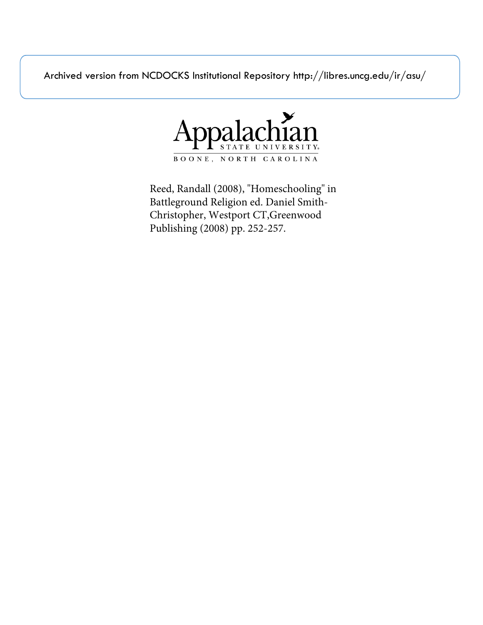Archived version from NCDOCKS Institutional Repository http://libres.uncg.edu/ir/asu/



Reed, Randall (2008), "Homeschooling" in Battleground Religion ed. Daniel Smith-Christopher, Westport CT,Greenwood Publishing (2008) pp. 252-257.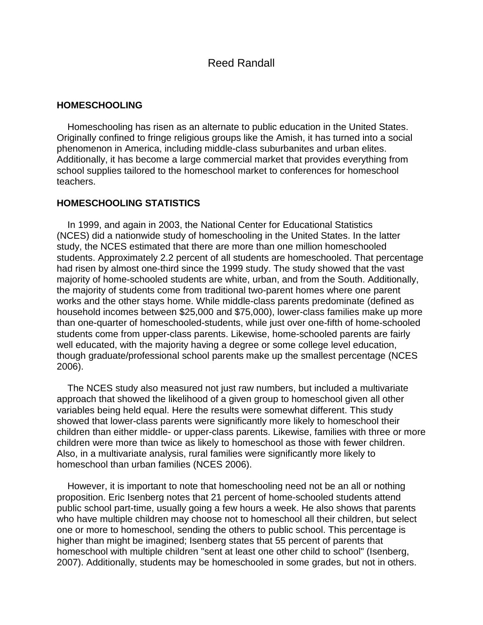# Reed Randall

#### **HOMESCHOOLING**

Homeschooling has risen as an alternate to public education in the United States. Originally confined to fringe religious groups like the Amish, it has turned into a social phenomenon in America, including middle-class suburbanites and urban elites. Additionally, it has become a large commercial market that provides everything from school supplies tailored to the homeschool market to conferences for homeschool teachers.

# **HOMESCHOOLING STATISTICS**

In 1999, and again in 2003, the National Center for Educational Statistics (NCES) did a nationwide study of homeschooling in the United States. In the latter study, the NCES estimated that there are more than one million homeschooled students. Approximately 2.2 percent of all students are homeschooled. That percentage had risen by almost one-third since the 1999 study. The study showed that the vast majority of home-schooled students are white, urban, and from the South. Additionally, the majority of students come from traditional two-parent homes where one parent works and the other stays home. While middle-class parents predominate (defined as household incomes between \$25,000 and \$75,000), lower-class families make up more than one-quarter of homeschooled-students, while just over one-fifth of home-schooled students come from upper-class parents. Likewise, home-schooled parents are fairly well educated, with the majority having a degree or some college level education, though graduate/professional school parents make up the smallest percentage (NCES 2006).

The NCES study also measured not just raw numbers, but included a multivariate approach that showed the likelihood of a given group to homeschool given all other variables being held equal. Here the results were somewhat different. This study showed that lower-class parents were significantly more likely to homeschool their children than either middle- or upper-class parents. Likewise, families with three or more children were more than twice as likely to homeschool as those with fewer children. Also, in a multivariate analysis, rural families were significantly more likely to homeschool than urban families (NCES 2006).

However, it is important to note that homeschooling need not be an all or nothing proposition. Eric Isenberg notes that 21 percent of home-schooled students attend public school part-time, usually going a few hours a week. He also shows that parents who have multiple children may choose not to homeschool all their children, but select one or more to homeschool, sending the others to public school. This percentage is higher than might be imagined; Isenberg states that 55 percent of parents that homeschool with multiple children "sent at least one other child to school" (Isenberg, 2007). Additionally, students may be homeschooled in some grades, but not in others.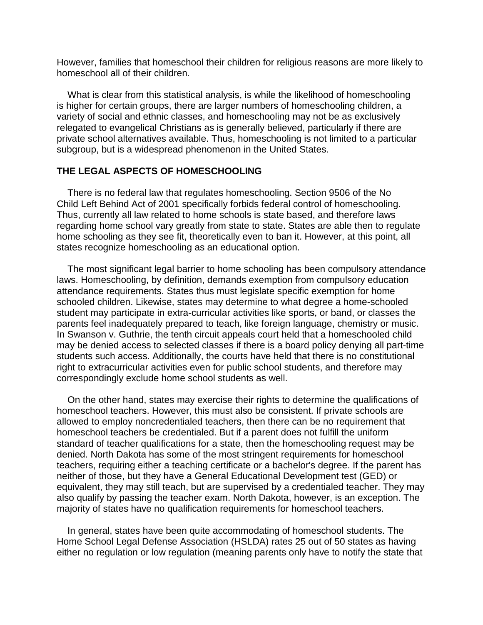However, families that homeschool their children for religious reasons are more likely to homeschool all of their children.

What is clear from this statistical analysis, is while the likelihood of homeschooling is higher for certain groups, there are larger numbers of homeschooling children, a variety of social and ethnic classes, and homeschooling may not be as exclusively relegated to evangelical Christians as is generally believed, particularly if there are private school alternatives available. Thus, homeschooling is not limited to a particular subgroup, but is a widespread phenomenon in the United States.

# **THE LEGAL ASPECTS OF HOMESCHOOLING**

There is no federal law that regulates homeschooling. Section 9506 of the No Child Left Behind Act of 2001 specifically forbids federal control of homeschooling. Thus, currently all law related to home schools is state based, and therefore laws regarding home school vary greatly from state to state. States are able then to regulate home schooling as they see fit, theoretically even to ban it. However, at this point, all states recognize homeschooling as an educational option.

The most significant legal barrier to home schooling has been compulsory attendance laws. Homeschooling, by definition, demands exemption from compulsory education attendance requirements. States thus must legislate specific exemption for home schooled children. Likewise, states may determine to what degree a home-schooled student may participate in extra-curricular activities like sports, or band, or classes the parents feel inadequately prepared to teach, like foreign language, chemistry or music. In Swanson v. Guthrie, the tenth circuit appeals court held that a homeschooled child may be denied access to selected classes if there is a board policy denying all part-time students such access. Additionally, the courts have held that there is no constitutional right to extracurricular activities even for public school students, and therefore may correspondingly exclude home school students as well.

On the other hand, states may exercise their rights to determine the qualifications of homeschool teachers. However, this must also be consistent. If private schools are allowed to employ noncredentialed teachers, then there can be no requirement that homeschool teachers be credentialed. But if a parent does not fulfill the uniform standard of teacher qualifications for a state, then the homeschooling request may be denied. North Dakota has some of the most stringent requirements for homeschool teachers, requiring either a teaching certificate or a bachelor's degree. If the parent has neither of those, but they have a General Educational Development test (GED) or equivalent, they may still teach, but are supervised by a credentialed teacher. They may also qualify by passing the teacher exam. North Dakota, however, is an exception. The majority of states have no qualification requirements for homeschool teachers.

In general, states have been quite accommodating of homeschool students. The Home School Legal Defense Association (HSLDA) rates 25 out of 50 states as having either no regulation or low regulation (meaning parents only have to notify the state that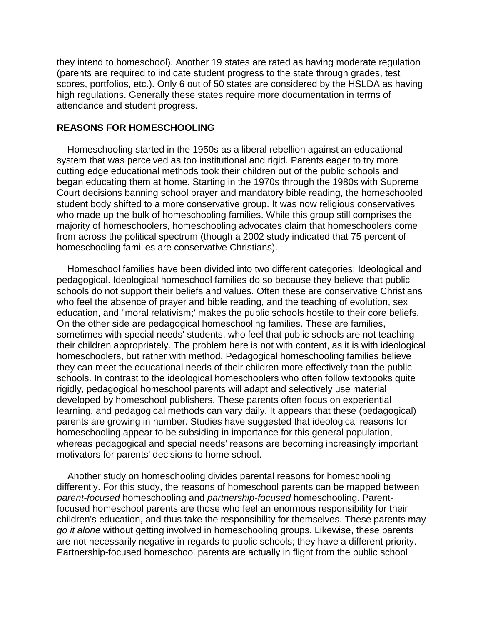they intend to homeschool). Another 19 states are rated as having moderate regulation (parents are required to indicate student progress to the state through grades, test scores, portfolios, etc.). Only 6 out of 50 states are considered by the HSLDA as having high regulations. Generally these states require more documentation in terms of attendance and student progress.

# **REASONS FOR HOMESCHOOLING**

Homeschooling started in the 1950s as a liberal rebellion against an educational system that was perceived as too institutional and rigid. Parents eager to try more cutting edge educational methods took their children out of the public schools and began educating them at home. Starting in the 1970s through the 1980s with Supreme Court decisions banning school prayer and mandatory bible reading, the homeschooled student body shifted to a more conservative group. It was now religious conservatives who made up the bulk of homeschooling families. While this group still comprises the majority of homeschoolers, homeschooling advocates claim that homeschoolers come from across the political spectrum (though a 2002 study indicated that 75 percent of homeschooling families are conservative Christians).

Homeschool families have been divided into two different categories: Ideological and pedagogical. Ideological homeschool families do so because they believe that public schools do not support their beliefs and values. Often these are conservative Christians who feel the absence of prayer and bible reading, and the teaching of evolution, sex education, and "moral relativism;' makes the public schools hostile to their core beliefs. On the other side are pedagogical homeschooling families. These are families, sometimes with special needs' students, who feel that public schools are not teaching their children appropriately. The problem here is not with content, as it is with ideological homeschoolers, but rather with method. Pedagogical homeschooling families believe they can meet the educational needs of their children more effectively than the public schools. In contrast to the ideological homeschoolers who often follow textbooks quite rigidly, pedagogical homeschool parents will adapt and selectively use material developed by homeschool publishers. These parents often focus on experiential learning, and pedagogical methods can vary daily. It appears that these (pedagogical) parents are growing in number. Studies have suggested that ideological reasons for homeschooling appear to be subsiding in importance for this general population, whereas pedagogical and special needs' reasons are becoming increasingly important motivators for parents' decisions to home school.

Another study on homeschooling divides parental reasons for homeschooling differently. For this study, the reasons of homeschool parents can be mapped between *parent-focused* homeschooling and *partnership-focused* homeschooling. Parentfocused homeschool parents are those who feel an enormous responsibility for their children's education, and thus take the responsibility for themselves. These parents may *go it alone* without getting involved in homeschooling groups. Likewise, these parents are not necessarily negative in regards to public schools; they have a different priority. Partnership-focused homeschool parents are actually in flight from the public school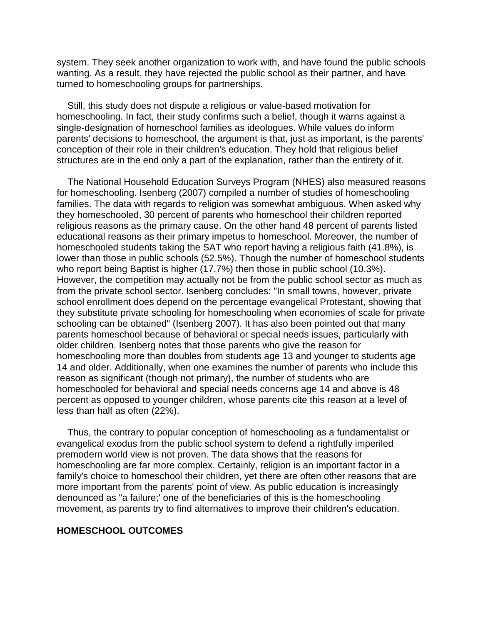system. They seek another organization to work with, and have found the public schools wanting. As a result, they have rejected the public school as their partner, and have turned to homeschooling groups for partnerships.

Still, this study does not dispute a religious or value-based motivation for homeschooling. In fact, their study confirms such a belief, though it warns against a single-designation of homeschool families as ideologues. While values do inform parents' decisions to homeschool, the argument is that, just as important, is the parents' conception of their role in their children's education. They hold that religious belief structures are in the end only a part of the explanation, rather than the entirety of it.

The National Household Education Surveys Program (NHES) also measured reasons for homeschooling. Isenberg (2007) compiled a number of studies of homeschooling families. The data with regards to religion was somewhat ambiguous. When asked why they homeschooled, 30 percent of parents who homeschool their children reported religious reasons as the primary cause. On the other hand 48 percent of parents listed educational reasons as their primary impetus to homeschool. Moreover, the number of homeschooled students taking the SAT who report having a religious faith (41.8%), is lower than those in public schools (52.5%). Though the number of homeschool students who report being Baptist is higher (17.7%) then those in public school (10.3%). However, the competition may actually not be from the public school sector as much as from the private school sector. Isenberg concludes: "In small towns, however, private school enrollment does depend on the percentage evangelical Protestant, showing that they substitute private schooling for homeschooling when economies of scale for private schooling can be obtained" (Isenberg 2007). It has also been pointed out that many parents homeschool because of behavioral or special needs issues, particularly with older children. Isenberg notes that those parents who give the reason for homeschooling more than doubles from students age 13 and younger to students age 14 and older. Additionally, when one examines the number of parents who include this reason as significant (though not primary), the number of students who are homeschooled for behavioral and special needs concerns age 14 and above is 48 percent as opposed to younger children, whose parents cite this reason at a level of less than half as often (22%).

Thus, the contrary to popular conception of homeschooling as a fundamentalist or evangelical exodus from the public school system to defend a rightfully imperiled premodern world view is not proven. The data shows that the reasons for homeschooling are far more complex. Certainly, religion is an important factor in a family's choice to homeschool their children, yet there are often other reasons that are more important from the parents' point of view. As public education is increasingly denounced as "a failure;' one of the beneficiaries of this is the homeschooling movement, as parents try to find alternatives to improve their children's education.

### **HOMESCHOOL OUTCOMES**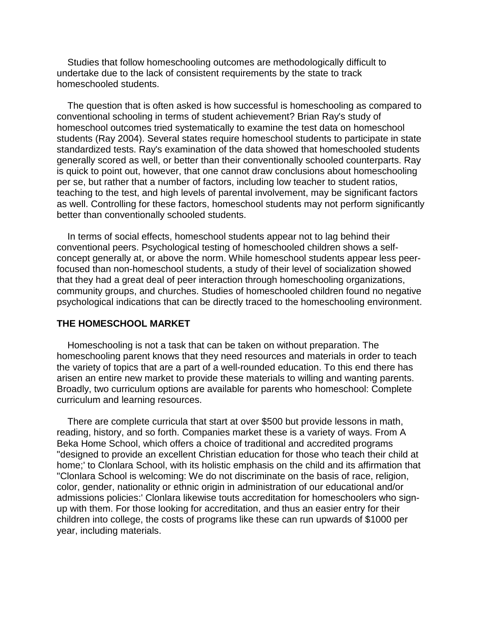Studies that follow homeschooling outcomes are methodologically difficult to undertake due to the lack of consistent requirements by the state to track homeschooled students.

The question that is often asked is how successful is homeschooling as compared to conventional schooling in terms of student achievement? Brian Ray's study of homeschool outcomes tried systematically to examine the test data on homeschool students (Ray 2004). Several states require homeschool students to participate in state standardized tests. Ray's examination of the data showed that homeschooled students generally scored as well, or better than their conventionally schooled counterparts. Ray is quick to point out, however, that one cannot draw conclusions about homeschooling per se, but rather that a number of factors, including low teacher to student ratios, teaching to the test, and high levels of parental involvement, may be significant factors as well. Controlling for these factors, homeschool students may not perform significantly better than conventionally schooled students.

In terms of social effects, homeschool students appear not to lag behind their conventional peers. Psychological testing of homeschooled children shows a selfconcept generally at, or above the norm. While homeschool students appear less peerfocused than non-homeschool students, a study of their level of socialization showed that they had a great deal of peer interaction through homeschooling organizations, community groups, and churches. Studies of homeschooled children found no negative psychological indications that can be directly traced to the homeschooling environment.

#### **THE HOMESCHOOL MARKET**

Homeschooling is not a task that can be taken on without preparation. The homeschooling parent knows that they need resources and materials in order to teach the variety of topics that are a part of a well-rounded education. To this end there has arisen an entire new market to provide these materials to willing and wanting parents. Broadly, two curriculum options are available for parents who homeschool: Complete curriculum and learning resources.

There are complete curricula that start at over \$500 but provide lessons in math, reading, history, and so forth. Companies market these is a variety of ways. From A Beka Home School, which offers a choice of traditional and accredited programs "designed to provide an excellent Christian education for those who teach their child at home;' to Clonlara School, with its holistic emphasis on the child and its affirmation that "Clonlara School is welcoming: We do not discriminate on the basis of race, religion, color, gender, nationality or ethnic origin in administration of our educational and/or admissions policies:' Clonlara likewise touts accreditation for homeschoolers who signup with them. For those looking for accreditation, and thus an easier entry for their children into college, the costs of programs like these can run upwards of \$1000 per year, including materials.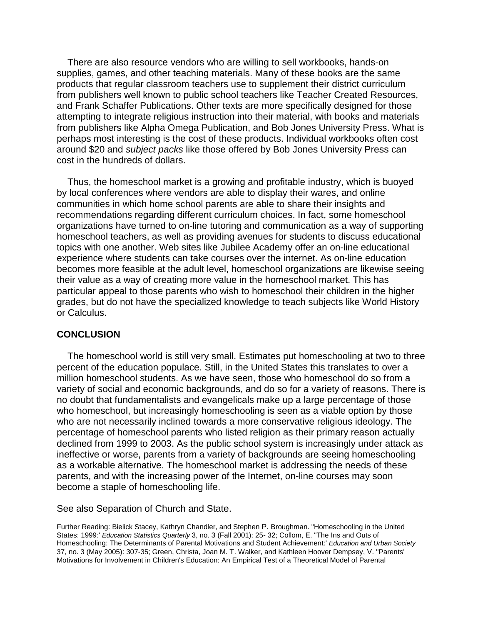There are also resource vendors who are willing to sell workbooks, hands-on supplies, games, and other teaching materials. Many of these books are the same products that regular classroom teachers use to supplement their district curriculum from publishers well known to public school teachers like Teacher Created Resources, and Frank Schaffer Publications. Other texts are more specifically designed for those attempting to integrate religious instruction into their material, with books and materials from publishers like Alpha Omega Publication, and Bob Jones University Press. What is perhaps most interesting is the cost of these products. Individual workbooks often cost around \$20 and *subject packs* like those offered by Bob Jones University Press can cost in the hundreds of dollars.

Thus, the homeschool market is a growing and profitable industry, which is buoyed by local conferences where vendors are able to display their wares, and online communities in which home school parents are able to share their insights and recommendations regarding different curriculum choices. In fact, some homeschool organizations have turned to on-line tutoring and communication as a way of supporting homeschool teachers, as well as providing avenues for students to discuss educational topics with one another. Web sites like Jubilee Academy offer an on-line educational experience where students can take courses over the internet. As on-line education becomes more feasible at the adult level, homeschool organizations are likewise seeing their value as a way of creating more value in the homeschool market. This has particular appeal to those parents who wish to homeschool their children in the higher grades, but do not have the specialized knowledge to teach subjects like World History or Calculus.

## **CONCLUSION**

The homeschool world is still very small. Estimates put homeschooling at two to three percent of the education populace. Still, in the United States this translates to over a million homeschool students. As we have seen, those who homeschool do so from a variety of social and economic backgrounds, and do so for a variety of reasons. There is no doubt that fundamentalists and evangelicals make up a large percentage of those who homeschool, but increasingly homeschooling is seen as a viable option by those who are not necessarily inclined towards a more conservative religious ideology. The percentage of homeschool parents who listed religion as their primary reason actually declined from 1999 to 2003. As the public school system is increasingly under attack as ineffective or worse, parents from a variety of backgrounds are seeing homeschooling as a workable alternative. The homeschool market is addressing the needs of these parents, and with the increasing power of the Internet, on-line courses may soon become a staple of homeschooling life.

See also Separation of Church and State.

Further Reading: Bielick Stacey, Kathryn Chandler, and Stephen P. Broughman. "Homeschooling in the United States: 1999:' *Education Statistics Quarterly* 3, no. 3 (Fall 2001): 25- 32; Collom, E. "The Ins and Outs of Homeschooling: The Determinants of Parental Motivations and Student Achievement:' *Education and Urban Society*  37, no. 3 (May 2005): 307-35; Green, Christa, Joan M. T. Walker, and Kathleen Hoover Dempsey, V. "Parents' Motivations for Involvement in Children's Education: An Empirical Test of a Theoretical Model of Parental